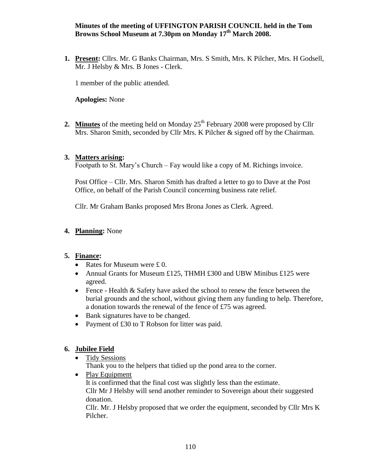#### **Minutes of the meeting of UFFINGTON PARISH COUNCIL held in the Tom Browns School Museum at 7.30pm on Monday 17th March 2008.**

**1. Present:** Cllrs. Mr. G Banks Chairman, Mrs. S Smith, Mrs. K Pilcher, Mrs. H Godsell, Mr. J Helsby & Mrs. B Jones - Clerk.

1 member of the public attended.

**Apologies:** None

**2.** Minutes of the meeting held on Monday 25<sup>th</sup> February 2008 were proposed by Cllr Mrs. Sharon Smith, seconded by Cllr Mrs. K Pilcher & signed off by the Chairman.

### **3. Matters arising:**

Footpath to St. Mary's Church – Fay would like a copy of M. Richings invoice.

Post Office – Cllr. Mrs. Sharon Smith has drafted a letter to go to Dave at the Post Office, on behalf of the Parish Council concerning business rate relief.

Cllr. Mr Graham Banks proposed Mrs Brona Jones as Clerk. Agreed.

# **4. Planning:** None

### **5. Finance:**

- Rates for Museum were  $£ 0$ .
- Annual Grants for Museum £125, THMH £300 and UBW Minibus £125 were agreed.
- Fence Health & Safety have asked the school to renew the fence between the burial grounds and the school, without giving them any funding to help. Therefore, a donation towards the renewal of the fence of £75 was agreed.
- Bank signatures have to be changed.
- Payment of £30 to T Robson for litter was paid.

### **6. Jubilee Field**

Tidy Sessions

Thank you to the helpers that tidied up the pond area to the corner.

• Play Equipment It is confirmed that the final cost was slightly less than the estimate. Cllr Mr J Helsby will send another reminder to Sovereign about their suggested donation.

Cllr. Mr. J Helsby proposed that we order the equipment, seconded by Cllr Mrs K Pilcher.